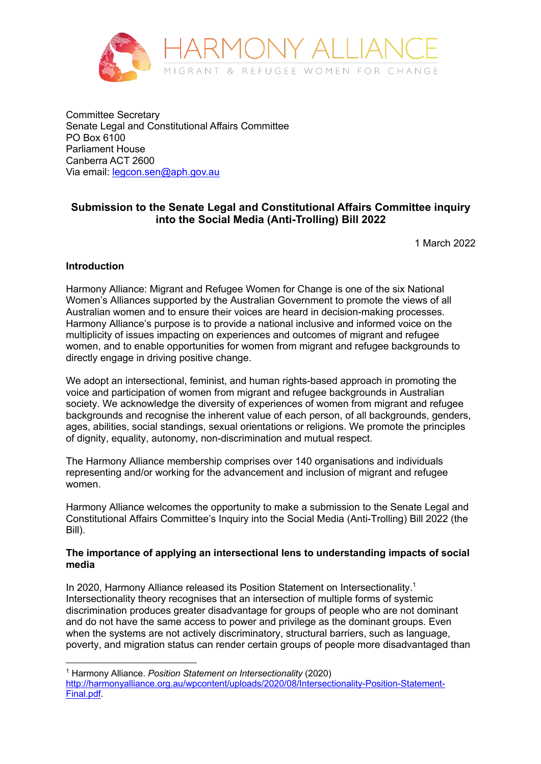

Committee Secretary Senate Legal and Constitutional Affairs Committee PO Box 6100 Parliament House Canberra ACT 2600 Via email: legcon.sen@aph.gov.au

# **Submission to the Senate Legal and Constitutional Affairs Committee inquiry into the Social Media (Anti-Trolling) Bill 2022**

1 March 2022

## **Introduction**

Harmony Alliance: Migrant and Refugee Women for Change is one of the six National Women's Alliances supported by the Australian Government to promote the views of all Australian women and to ensure their voices are heard in decision-making processes. Harmony Alliance's purpose is to provide a national inclusive and informed voice on the multiplicity of issues impacting on experiences and outcomes of migrant and refugee women, and to enable opportunities for women from migrant and refugee backgrounds to directly engage in driving positive change.

We adopt an intersectional, feminist, and human rights-based approach in promoting the voice and participation of women from migrant and refugee backgrounds in Australian society. We acknowledge the diversity of experiences of women from migrant and refugee backgrounds and recognise the inherent value of each person, of all backgrounds, genders, ages, abilities, social standings, sexual orientations or religions. We promote the principles of dignity, equality, autonomy, non-discrimination and mutual respect.

The Harmony Alliance membership comprises over 140 organisations and individuals representing and/or working for the advancement and inclusion of migrant and refugee women.

Harmony Alliance welcomes the opportunity to make a submission to the Senate Legal and Constitutional Affairs Committee's Inquiry into the Social Media (Anti-Trolling) Bill 2022 (the Bill).

## **The importance of applying an intersectional lens to understanding impacts of social media**

In 2020, Harmony Alliance released its Position Statement on Intersectionality.<sup>1</sup> Intersectionality theory recognises that an intersection of multiple forms of systemic discrimination produces greater disadvantage for groups of people who are not dominant and do not have the same access to power and privilege as the dominant groups. Even when the systems are not actively discriminatory, structural barriers, such as language, poverty, and migration status can render certain groups of people more disadvantaged than

<sup>1</sup> Harmony Alliance. *Position Statement on Intersectionality* (2020)

http://harmonyalliance.org.au/wpcontent/uploads/2020/08/Intersectionality-Position-Statement-Final.pdf.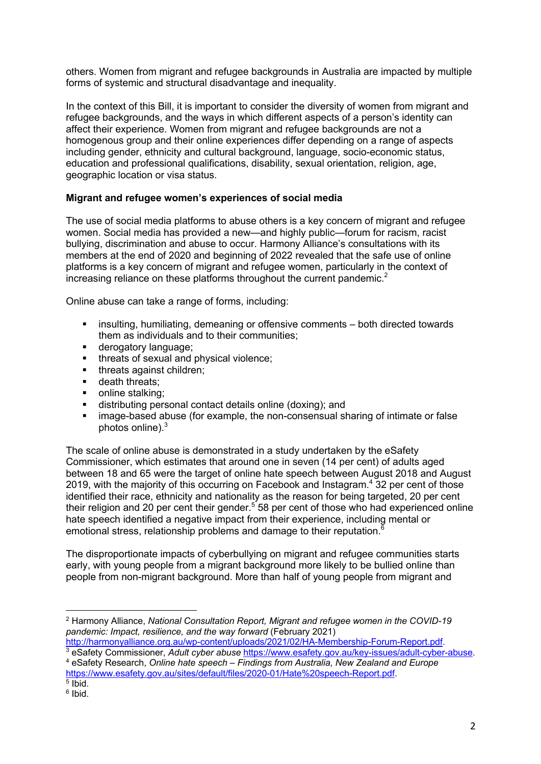others. Women from migrant and refugee backgrounds in Australia are impacted by multiple forms of systemic and structural disadvantage and inequality.

In the context of this Bill, it is important to consider the diversity of women from migrant and refugee backgrounds, and the ways in which different aspects of a person's identity can affect their experience. Women from migrant and refugee backgrounds are not a homogenous group and their online experiences differ depending on a range of aspects including gender, ethnicity and cultural background, language, socio-economic status, education and professional qualifications, disability, sexual orientation, religion, age, geographic location or visa status.

## **Migrant and refugee women's experiences of social media**

The use of social media platforms to abuse others is a key concern of migrant and refugee women. Social media has provided a new—and highly public—forum for racism, racist bullying, discrimination and abuse to occur. Harmony Alliance's consultations with its members at the end of 2020 and beginning of 2022 revealed that the safe use of online platforms is a key concern of migrant and refugee women, particularly in the context of increasing reliance on these platforms throughout the current pandemic.<sup>2</sup>

Online abuse can take a range of forms, including:

- **EXED** insulting, humiliating, demeaning or offensive comments both directed towards them as individuals and to their communities;
- derogatory language;
- **■** threats of sexual and physical violence;
- **•** threats against children;
- death threats;
- online stalking:
- distributing personal contact details online (doxing); and
- image-based abuse (for example, the non-consensual sharing of intimate or false photos online) $<sup>3</sup>$ </sup>

The scale of online abuse is demonstrated in a study undertaken by the eSafety Commissioner, which estimates that around one in seven (14 per cent) of adults aged between 18 and 65 were the target of online hate speech between August 2018 and August 2019, with the majority of this occurring on Facebook and Instagram.<sup>4</sup> 32 per cent of those identified their race, ethnicity and nationality as the reason for being targeted, 20 per cent their religion and 20 per cent their gender.<sup>5</sup> 58 per cent of those who had experienced online hate speech identified a negative impact from their experience, including mental or emotional stress, relationship problems and damage to their reputation. $\overline{6}$ 

The disproportionate impacts of cyberbullying on migrant and refugee communities starts early, with young people from a migrant background more likely to be bullied online than people from non-migrant background. More than half of young people from migrant and

<sup>2</sup> Harmony Alliance, *National Consultation Report, Migrant and refugee women in the COVID-19 pandemic: Impact, resilience, and the way forward* (February 2021)

http://harmonyalliance.org.au/wp-content/uploads/2021/02/HA-Membership-Forum-Report.pdf.

<sup>3</sup> eSafety Commissioner, *Adult cyber abuse* https://www.esafety.gov.au/key-issues/adult-cyber-abuse. <sup>4</sup> eSafety Research, *Online hate speech – Findings from Australia, New Zealand and Europe* https://www.esafety.gov.au/sites/default/files/2020-01/Hate%20speech-Report.pdf.

 $<sup>5</sup>$  Ibid.</sup>

<sup>6</sup> Ibid.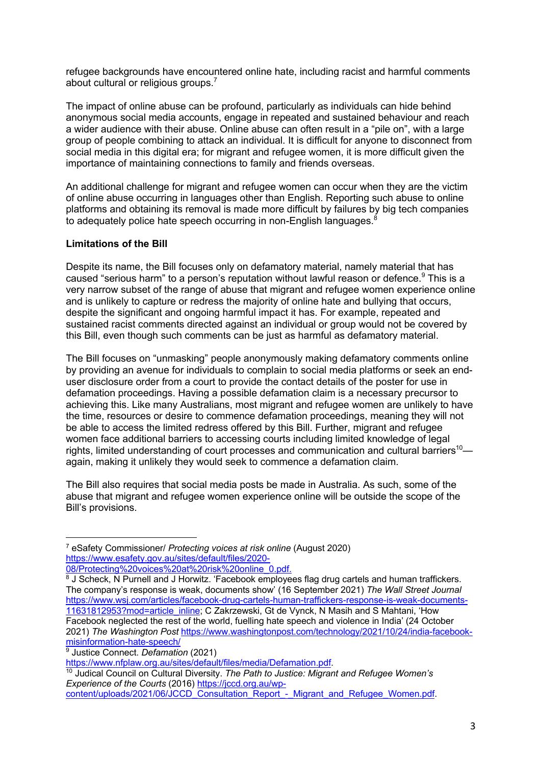refugee backgrounds have encountered online hate, including racist and harmful comments about cultural or religious groups.<sup>7</sup>

The impact of online abuse can be profound, particularly as individuals can hide behind anonymous social media accounts, engage in repeated and sustained behaviour and reach a wider audience with their abuse. Online abuse can often result in a "pile on", with a large group of people combining to attack an individual. It is difficult for anyone to disconnect from social media in this digital era; for migrant and refugee women, it is more difficult given the importance of maintaining connections to family and friends overseas.

An additional challenge for migrant and refugee women can occur when they are the victim of online abuse occurring in languages other than English. Reporting such abuse to online platforms and obtaining its removal is made more difficult by failures by big tech companies to adequately police hate speech occurring in non-English languages.<sup>8</sup>

## **Limitations of the Bill**

Despite its name, the Bill focuses only on defamatory material, namely material that has caused "serious harm" to a person's reputation without lawful reason or defence.<sup>9</sup> This is a very narrow subset of the range of abuse that migrant and refugee women experience online and is unlikely to capture or redress the majority of online hate and bullying that occurs, despite the significant and ongoing harmful impact it has. For example, repeated and sustained racist comments directed against an individual or group would not be covered by this Bill, even though such comments can be just as harmful as defamatory material.

The Bill focuses on "unmasking" people anonymously making defamatory comments online by providing an avenue for individuals to complain to social media platforms or seek an enduser disclosure order from a court to provide the contact details of the poster for use in defamation proceedings. Having a possible defamation claim is a necessary precursor to achieving this. Like many Australians, most migrant and refugee women are unlikely to have the time, resources or desire to commence defamation proceedings, meaning they will not be able to access the limited redress offered by this Bill. Further, migrant and refugee women face additional barriers to accessing courts including limited knowledge of legal rights, limited understanding of court processes and communication and cultural barriers<sup>10</sup> again, making it unlikely they would seek to commence a defamation claim.

The Bill also requires that social media posts be made in Australia. As such, some of the abuse that migrant and refugee women experience online will be outside the scope of the Bill's provisions.

<sup>7</sup> eSafety Commissioner/ *Protecting voices at risk online* (August 2020) https://www.esafety.gov.au/sites/default/files/2020-

<sup>08/</sup>Protecting%20voices%20at%20risk%20online\_0.pdf.

<sup>8</sup> J Scheck, N Purnell and J Horwitz. 'Facebook employees flag drug cartels and human traffickers. The company's response is weak, documents show' (16 September 2021) *The Wall Street Journal*  https://www.wsj.com/articles/facebook-drug-cartels-human-traffickers-response-is-weak-documents-11631812953?mod=article\_inline; C Zakrzewski, Gt de Vynck, N Masih and S Mahtani, 'How Facebook neglected the rest of the world, fuelling hate speech and violence in India' (24 October 2021) *The Washington Post* https://www.washingtonpost.com/technology/2021/10/24/india-facebookmisinformation-hate-speech/

<sup>&</sup>lt;sup>9</sup> Justice Connect. *Defamation* (2021)<br>https://www.nfplaw.org.au/sites/default/files/media/Defamation.pdf.

<sup>&</sup>lt;sup>10</sup> Judical Council on Cultural Diversity. The Path to Justice: Migrant and Refugee Women's *Experience of the Courts* (2016) https://jccd.org.au/wp-

content/uploads/2021/06/JCCD\_Consultation\_Report\_-\_Migrant\_and\_Refugee\_Women.pdf.